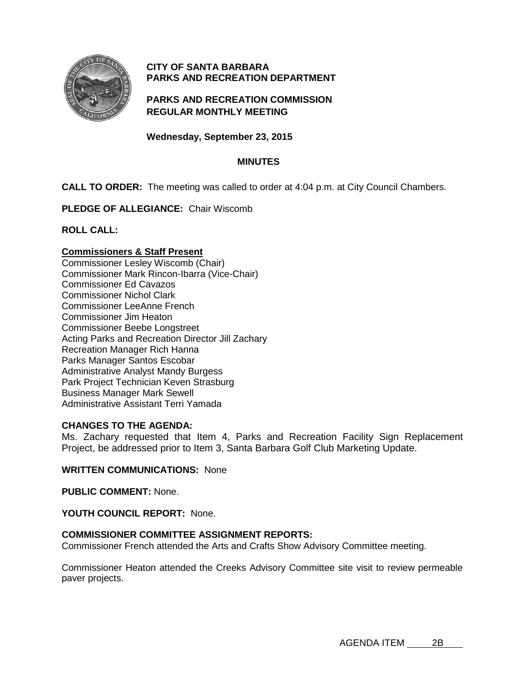

# **CITY OF SANTA BARBARA PARKS AND RECREATION DEPARTMENT**

## **PARKS AND RECREATION COMMISSION REGULAR MONTHLY MEETING**

**Wednesday, September 23, 2015**

## **MINUTES**

**CALL TO ORDER:** The meeting was called to order at 4:04 p.m. at City Council Chambers.

**PLEDGE OF ALLEGIANCE:** Chair Wiscomb

**ROLL CALL:**

#### **Commissioners & Staff Present**

Commissioner Lesley Wiscomb (Chair) Commissioner Mark Rincon-Ibarra (Vice-Chair) Commissioner Ed Cavazos Commissioner Nichol Clark Commissioner LeeAnne French Commissioner Jim Heaton Commissioner Beebe Longstreet Acting Parks and Recreation Director Jill Zachary Recreation Manager Rich Hanna Parks Manager Santos Escobar Administrative Analyst Mandy Burgess Park Project Technician Keven Strasburg Business Manager Mark Sewell Administrative Assistant Terri Yamada

## **CHANGES TO THE AGENDA:**

Ms. Zachary requested that Item 4, Parks and Recreation Facility Sign Replacement Project, be addressed prior to Item 3, Santa Barbara Golf Club Marketing Update.

#### **WRITTEN COMMUNICATIONS:** None

**PUBLIC COMMENT:** None.

#### **YOUTH COUNCIL REPORT:** None.

## **COMMISSIONER COMMITTEE ASSIGNMENT REPORTS:**

Commissioner French attended the Arts and Crafts Show Advisory Committee meeting.

Commissioner Heaton attended the Creeks Advisory Committee site visit to review permeable paver projects.

AGENDA ITEM 2B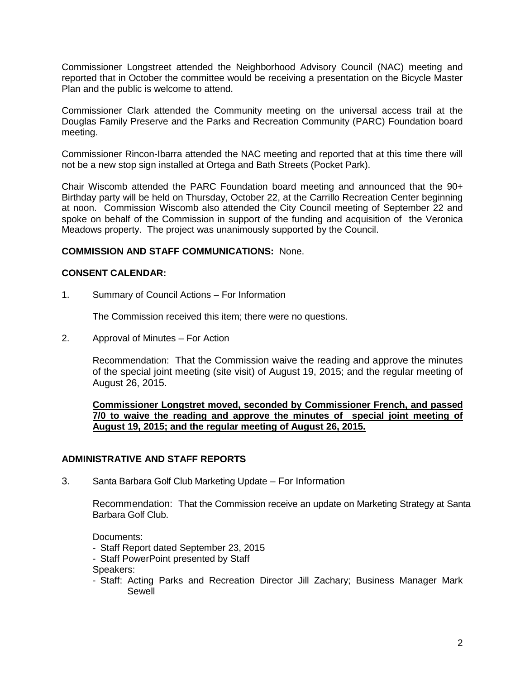Commissioner Longstreet attended the Neighborhood Advisory Council (NAC) meeting and reported that in October the committee would be receiving a presentation on the Bicycle Master Plan and the public is welcome to attend.

Commissioner Clark attended the Community meeting on the universal access trail at the Douglas Family Preserve and the Parks and Recreation Community (PARC) Foundation board meeting.

Commissioner Rincon-Ibarra attended the NAC meeting and reported that at this time there will not be a new stop sign installed at Ortega and Bath Streets (Pocket Park).

Chair Wiscomb attended the PARC Foundation board meeting and announced that the 90+ Birthday party will be held on Thursday, October 22, at the Carrillo Recreation Center beginning at noon. Commission Wiscomb also attended the City Council meeting of September 22 and spoke on behalf of the Commission in support of the funding and acquisition of the Veronica Meadows property. The project was unanimously supported by the Council.

## **COMMISSION AND STAFF COMMUNICATIONS:** None.

## **CONSENT CALENDAR:**

1. Summary of Council Actions – For Information

The Commission received this item; there were no questions.

2. Approval of Minutes – For Action

Recommendation: That the Commission waive the reading and approve the minutes of the special joint meeting (site visit) of August 19, 2015; and the regular meeting of August 26, 2015.

**Commissioner Longstret moved, seconded by Commissioner French, and passed 7/0 to waive the reading and approve the minutes of special joint meeting of August 19, 2015; and the regular meeting of August 26, 2015.**

## **ADMINISTRATIVE AND STAFF REPORTS**

3. Santa Barbara Golf Club Marketing Update – For Information

Recommendation: That the Commission receive an update on Marketing Strategy at Santa Barbara Golf Club.

Documents:

- Staff Report dated September 23, 2015
- Staff PowerPoint presented by Staff

Speakers:

- Staff: Acting Parks and Recreation Director Jill Zachary; Business Manager Mark Sewell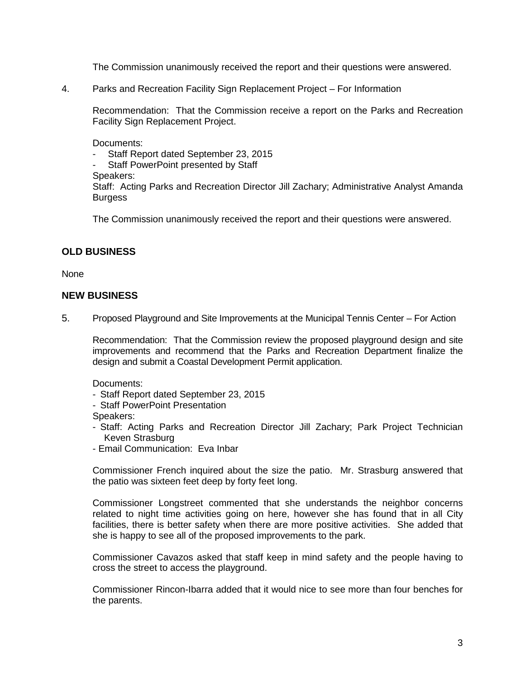The Commission unanimously received the report and their questions were answered.

4. Parks and Recreation Facility Sign Replacement Project – For Information

Recommendation: That the Commission receive a report on the Parks and Recreation Facility Sign Replacement Project.

Documents:

- Staff Report dated September 23, 2015
- Staff PowerPoint presented by Staff
- Speakers:

Staff: Acting Parks and Recreation Director Jill Zachary; Administrative Analyst Amanda **Burgess** 

The Commission unanimously received the report and their questions were answered.

## **OLD BUSINESS**

None

#### **NEW BUSINESS**

5. Proposed Playground and Site Improvements at the Municipal Tennis Center – For Action

Recommendation: That the Commission review the proposed playground design and site improvements and recommend that the Parks and Recreation Department finalize the design and submit a Coastal Development Permit application.

Documents:

- Staff Report dated September 23, 2015
- Staff PowerPoint Presentation

Speakers:

- Staff: Acting Parks and Recreation Director Jill Zachary; Park Project Technician Keven Strasburg
- Email Communication: Eva Inbar

Commissioner French inquired about the size the patio. Mr. Strasburg answered that the patio was sixteen feet deep by forty feet long.

Commissioner Longstreet commented that she understands the neighbor concerns related to night time activities going on here, however she has found that in all City facilities, there is better safety when there are more positive activities. She added that she is happy to see all of the proposed improvements to the park.

Commissioner Cavazos asked that staff keep in mind safety and the people having to cross the street to access the playground.

Commissioner Rincon-Ibarra added that it would nice to see more than four benches for the parents.